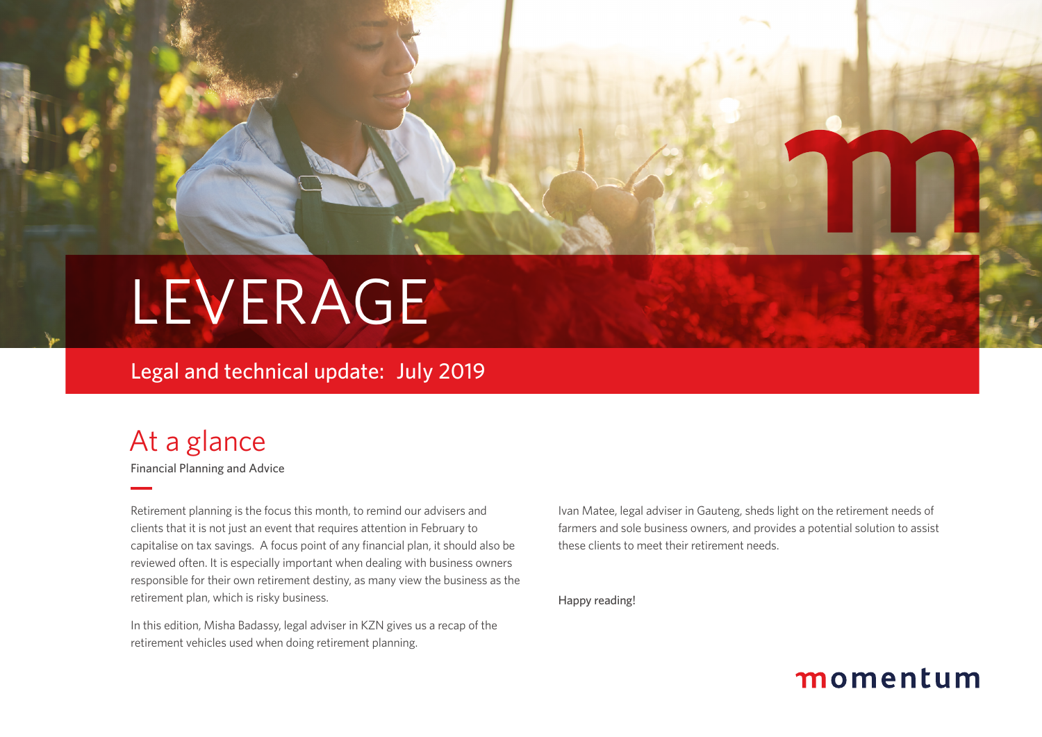# LEVERAGE

### Legal and technical update: July 2019

### At a glance

Financial Planning and Advice

Retirement planning is the focus this month, to remind our advisers and clients that it is not just an event that requires attention in February to capitalise on tax savings. A focus point of any financial plan, it should also be reviewed often. It is especially important when dealing with business owners responsible for their own retirement destiny, as many view the business as the retirement plan, which is risky business.

In this edition, Misha Badassy, legal adviser in KZN gives us a recap of the retirement vehicles used when doing retirement planning.

Ivan Matee, legal adviser in Gauteng, sheds light on the retirement needs of farmers and sole business owners, and provides a potential solution to assist these clients to meet their retirement needs.

Happy reading!

### momentum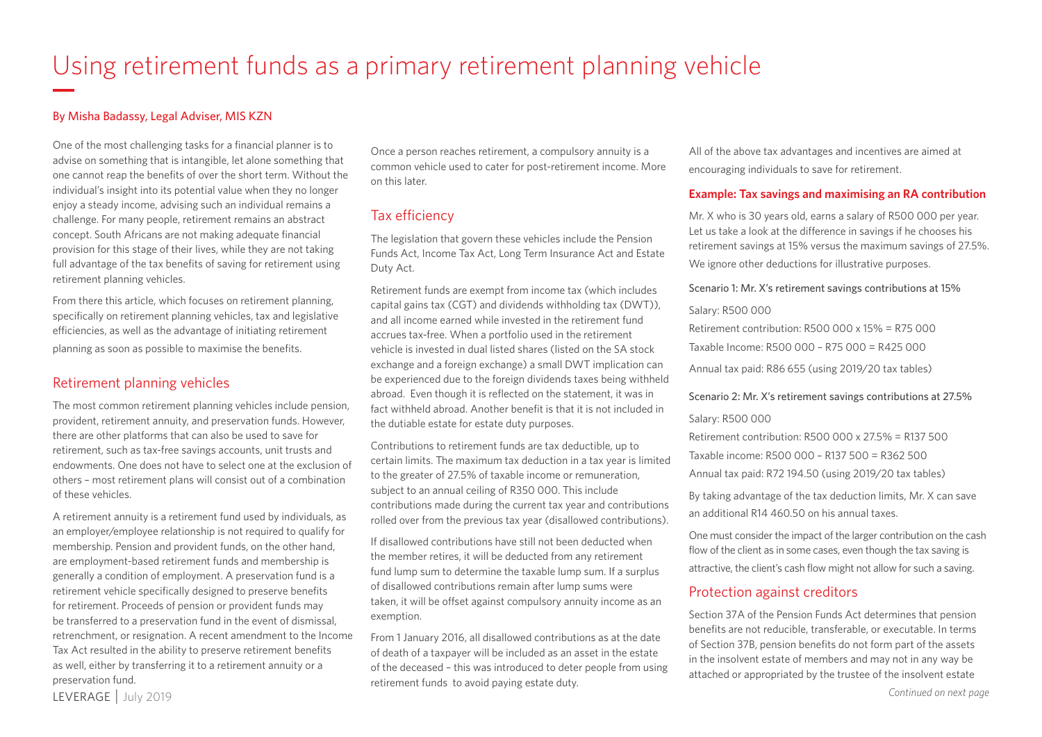## Using retirement funds as a primary retirement planning vehicle

#### By Misha Badassy, Legal Adviser, MIS KZN

One of the most challenging tasks for a financial planner is to advise on something that is intangible, let alone something that one cannot reap the benefits of over the short term. Without the individual's insight into its potential value when they no longer enjoy a steady income, advising such an individual remains a challenge. For many people, retirement remains an abstract concept. South Africans are not making adequate financial provision for this stage of their lives, while they are not taking full advantage of the tax benefits of saving for retirement using retirement planning vehicles.

From there this article, which focuses on retirement planning, specifically on retirement planning vehicles, tax and legislative efficiencies, as well as the advantage of initiating retirement planning as soon as possible to maximise the benefits.

#### Retirement planning vehicles

The most common retirement planning vehicles include pension, provident, retirement annuity, and preservation funds. However, there are other platforms that can also be used to save for retirement, such as tax-free savings accounts, unit trusts and endowments. One does not have to select one at the exclusion of others – most retirement plans will consist out of a combination of these vehicles.

A retirement annuity is a retirement fund used by individuals, as an employer/employee relationship is not required to qualify for membership. Pension and provident funds, on the other hand, are employment-based retirement funds and membership is generally a condition of employment. A preservation fund is a retirement vehicle specifically designed to preserve benefits for retirement. Proceeds of pension or provident funds may be transferred to a preservation fund in the event of dismissal, retrenchment, or resignation. A recent amendment to the Income Tax Act resulted in the ability to preserve retirement benefits as well, either by transferring it to a retirement annuity or a preservation fund.

Once a person reaches retirement, a compulsory annuity is a common vehicle used to cater for post-retirement income. More on this later.

#### Tax efficiency

The legislation that govern these vehicles include the Pension Funds Act, Income Tax Act, Long Term Insurance Act and Estate Duty Act.

Retirement funds are exempt from income tax (which includes capital gains tax (CGT) and dividends withholding tax (DWT)), and all income earned while invested in the retirement fund accrues tax-free. When a portfolio used in the retirement vehicle is invested in dual listed shares (listed on the SA stock exchange and a foreign exchange) a small DWT implication can be experienced due to the foreign dividends taxes being withheld abroad. Even though it is reflected on the statement, it was in fact withheld abroad. Another benefit is that it is not included in the dutiable estate for estate duty purposes.

Contributions to retirement funds are tax deductible, up to certain limits. The maximum tax deduction in a tax year is limited to the greater of 27.5% of taxable income or remuneration, subject to an annual ceiling of R350 000. This include contributions made during the current tax year and contributions rolled over from the previous tax year (disallowed contributions).

If disallowed contributions have still not been deducted when the member retires, it will be deducted from any retirement fund lump sum to determine the taxable lump sum. If a surplus of disallowed contributions remain after lump sums were taken, it will be offset against compulsory annuity income as an exemption.

From 1 January 2016, all disallowed contributions as at the date of death of a taxpayer will be included as an asset in the estate of the deceased – this was introduced to deter people from using retirement funds to avoid paying estate duty.

All of the above tax advantages and incentives are aimed at encouraging individuals to save for retirement.

#### **Example: Tax savings and maximising an RA contribution**

Mr. X who is 30 years old, earns a salary of R500 000 per year. Let us take a look at the difference in savings if he chooses his retirement savings at 15% versus the maximum savings of 27.5%. We ignore other deductions for illustrative purposes.

#### Scenario 1: Mr. X's retirement savings contributions at 15%

#### Salary: R500 000

Retirement contribution: R500 000 x 15% = R75 000 Taxable Income: R500 000 – R75 000 = R425 000 Annual tax paid: R86 655 (using 2019/20 tax tables)

#### Scenario 2: Mr. X's retirement savings contributions at 27.5%

Salary: R500 000

Retirement contribution: R500 000 x 27.5% = R137 500

Taxable income: R500 000 – R137 500 = R362 500

Annual tax paid: R72 194.50 (using 2019/20 tax tables)

By taking advantage of the tax deduction limits, Mr. X can save an additional R14 460.50 on his annual taxes.

One must consider the impact of the larger contribution on the cash flow of the client as in some cases, even though the tax saving is attractive, the client's cash flow might not allow for such a saving.

#### Protection against creditors

Section 37A of the Pension Funds Act determines that pension benefits are not reducible, transferable, or executable. In terms of Section 37B, pension benefits do not form part of the assets in the insolvent estate of members and may not in any way be attached or appropriated by the trustee of the insolvent estate

LEVERAGE | July 2019 *Continued on next page*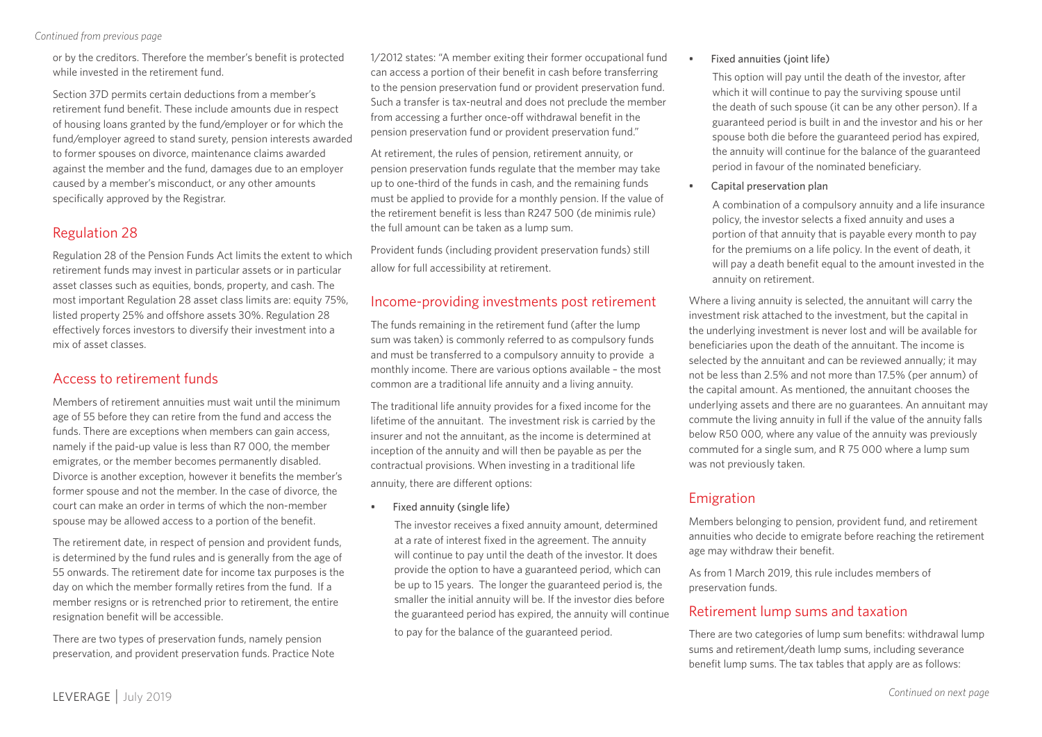*Continued from previous page*

or by the creditors. Therefore the member's benefit is protected while invested in the retirement fund.

Section 37D permits certain deductions from a member's retirement fund benefit. These include amounts due in respect of housing loans granted by the fund/employer or for which the fund/employer agreed to stand surety, pension interests awarded to former spouses on divorce, maintenance claims awarded against the member and the fund, damages due to an employer caused by a member's misconduct, or any other amounts specifically approved by the Registrar.

#### Regulation 28

Regulation 28 of the Pension Funds Act limits the extent to which retirement funds may invest in particular assets or in particular asset classes such as equities, bonds, property, and cash. The most important Regulation 28 asset class limits are: equity 75%, listed property 25% and offshore assets 30%. Regulation 28 effectively forces investors to diversify their investment into a mix of asset classes.

#### Access to retirement funds

Members of retirement annuities must wait until the minimum age of 55 before they can retire from the fund and access the funds. There are exceptions when members can gain access, namely if the paid-up value is less than R7 000, the member emigrates, or the member becomes permanently disabled. Divorce is another exception, however it benefits the member's former spouse and not the member. In the case of divorce, the court can make an order in terms of which the non-member spouse may be allowed access to a portion of the benefit.

The retirement date, in respect of pension and provident funds, is determined by the fund rules and is generally from the age of 55 onwards. The retirement date for income tax purposes is the day on which the member formally retires from the fund. If a member resigns or is retrenched prior to retirement, the entire resignation benefit will be accessible.

There are two types of preservation funds, namely pension preservation, and provident preservation funds. Practice Note 1/2012 states: "A member exiting their former occupational fund can access a portion of their benefit in cash before transferring to the pension preservation fund or provident preservation fund. Such a transfer is tax-neutral and does not preclude the member from accessing a further once-off withdrawal benefit in the pension preservation fund or provident preservation fund."

At retirement, the rules of pension, retirement annuity, or pension preservation funds regulate that the member may take up to one-third of the funds in cash, and the remaining funds must be applied to provide for a monthly pension. If the value of the retirement benefit is less than R247 500 (de minimis rule) the full amount can be taken as a lump sum.

Provident funds (including provident preservation funds) still allow for full accessibility at retirement.

#### Income-providing investments post retirement

The funds remaining in the retirement fund (after the lump sum was taken) is commonly referred to as compulsory funds and must be transferred to a compulsory annuity to provide a monthly income. There are various options available – the most common are a traditional life annuity and a living annuity.

The traditional life annuity provides for a fixed income for the lifetime of the annuitant. The investment risk is carried by the insurer and not the annuitant, as the income is determined at inception of the annuity and will then be payable as per the contractual provisions. When investing in a traditional life annuity, there are different options:

• Fixed annuity (single life)

The investor receives a fixed annuity amount, determined at a rate of interest fixed in the agreement. The annuity will continue to pay until the death of the investor. It does provide the option to have a guaranteed period, which can be up to 15 years. The longer the guaranteed period is, the smaller the initial annuity will be. If the investor dies before the guaranteed period has expired, the annuity will continue to pay for the balance of the guaranteed period.

#### Fixed annuities (joint life)

This option will pay until the death of the investor, after which it will continue to pay the surviving spouse until the death of such spouse (it can be any other person). If a guaranteed period is built in and the investor and his or her spouse both die before the guaranteed period has expired, the annuity will continue for the balance of the guaranteed period in favour of the nominated beneficiary.

• Capital preservation plan

A combination of a compulsory annuity and a life insurance policy, the investor selects a fixed annuity and uses a portion of that annuity that is payable every month to pay for the premiums on a life policy. In the event of death, it will pay a death benefit equal to the amount invested in the annuity on retirement.

Where a living annuity is selected, the annuitant will carry the investment risk attached to the investment, but the capital in the underlying investment is never lost and will be available for beneficiaries upon the death of the annuitant. The income is selected by the annuitant and can be reviewed annually; it may not be less than 2.5% and not more than 17.5% (per annum) of the capital amount. As mentioned, the annuitant chooses the underlying assets and there are no guarantees. An annuitant may commute the living annuity in full if the value of the annuity falls below R50 000, where any value of the annuity was previously commuted for a single sum, and R 75 000 where a lump sum was not previously taken.

### Emigration

Members belonging to pension, provident fund, and retirement annuities who decide to emigrate before reaching the retirement age may withdraw their benefit.

As from 1 March 2019, this rule includes members of preservation funds.

#### Retirement lump sums and taxation

There are two categories of lump sum benefits: withdrawal lump sums and retirement/death lump sums, including severance benefit lump sums. The tax tables that apply are as follows: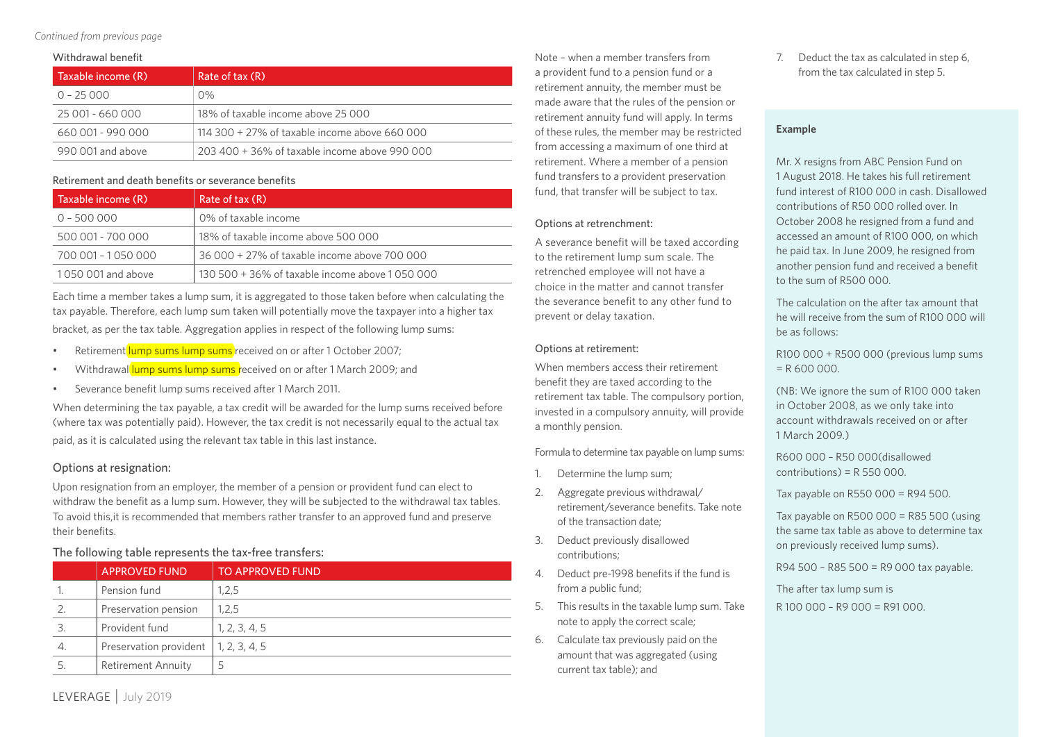*Continued from previous page*

#### Withdrawal benefit

| Taxable income (R) | Rate of tax (R)                               |
|--------------------|-----------------------------------------------|
| $0 - 25000$        | $0\%$                                         |
| 25 001 - 660 000   | 18% of taxable income above 25,000            |
| 660 001 - 990 000  | 114 300 + 27% of taxable income above 660 000 |
| 990.001 and above  | 203 400 + 36% of taxable income above 990 000 |

#### Retirement and death benefits or severance benefits

| Taxable income (R)  | Rate of tax (R)                                 |
|---------------------|-------------------------------------------------|
| $0 - 500000$        | 0% of taxable income                            |
| 500 001 - 700 000   | 18% of taxable income above 500 000             |
| 700 001 - 1 050 000 | 36 000 + 27% of taxable income above 700 000    |
| 1050 001 and above  | 130 500 + 36% of taxable income above 1 050 000 |

Each time a member takes a lump sum, it is aggregated to those taken before when calculating the tax payable. Therefore, each lump sum taken will potentially move the taxpayer into a higher tax bracket, as per the tax table. Aggregation applies in respect of the following lump sums:

- Retirement lump sums lump sums received on or after 1 October 2007;
- Withdrawal lump sums lump sums received on or after 1 March 2009; and
- Severance benefit lump sums received after 1 March 2011.

When determining the tax payable, a tax credit will be awarded for the lump sums received before (where tax was potentially paid). However, the tax credit is not necessarily equal to the actual tax paid, as it is calculated using the relevant tax table in this last instance.

#### Options at resignation:

Upon resignation from an employer, the member of a pension or provident fund can elect to withdraw the benefit as a lump sum. However, they will be subjected to the withdrawal tax tables. To avoid this,it is recommended that members rather transfer to an approved fund and preserve their benefits.

#### The following table represents the tax-free transfers:

|    | <b>APPROVED FUND</b>      | <b>TO APPROVED FUND</b> |
|----|---------------------------|-------------------------|
|    | Pension fund              | 1,2,5                   |
| 2. | Preservation pension      | 1,2,5                   |
| 3. | Provident fund            | 1, 2, 3, 4, 5           |
| 4. | Preservation provident    | 1, 2, 3, 4, 5           |
| 5. | <b>Retirement Annuity</b> | כ                       |

Note – when a member transfers from a provident fund to a pension fund or a retirement annuity, the member must be made aware that the rules of the pension or retirement annuity fund will apply. In terms of these rules, the member may be restricted from accessing a maximum of one third at retirement. Where a member of a pension fund transfers to a provident preservation fund, that transfer will be subject to tax.

#### Options at retrenchment:

A severance benefit will be taxed according to the retirement lump sum scale. The retrenched employee will not have a choice in the matter and cannot transfer the severance benefit to any other fund to prevent or delay taxation.

#### Options at retirement:

When members access their retirement benefit they are taxed according to the retirement tax table. The compulsory portion, invested in a compulsory annuity, will provide a monthly pension.

Formula to determine tax payable on lump sums:

- 1. Determine the lump sum;
- 2. Aggregate previous withdrawal/ retirement/severance benefits. Take note of the transaction date;
- 3. Deduct previously disallowed contributions;
- 4. Deduct pre-1998 benefits if the fund is from a public fund;
- 5. This results in the taxable lump sum. Take note to apply the correct scale;
- 6. Calculate tax previously paid on the amount that was aggregated (using current tax table); and

7. Deduct the tax as calculated in step 6, from the tax calculated in step 5.

#### **Example**

Mr. X resigns from ABC Pension Fund on 1 August 2018. He takes his full retirement fund interest of R100 000 in cash. Disallowed contributions of R50 000 rolled over. In October 2008 he resigned from a fund and accessed an amount of R100 000, on which he paid tax. In June 2009, he resigned from another pension fund and received a benefit to the sum of R500 000.

The calculation on the after tax amount that he will receive from the sum of R100 000 will be as follows:

R100 000 + R500 000 (previous lump sums  $= R 600 000$ .

(NB: We ignore the sum of R100 000 taken in October 2008, as we only take into account withdrawals received on or after 1 March 2009.)

R600 000 – R50 000(disallowed  $contributions$ ) = R 550 000.

Tax payable on R550 000 = R94 500.

Tax payable on R500 000 = R85 500 (using the same tax table as above to determine tax on previously received lump sums).

R94 500 – R85 500 = R9 000 tax payable.

The after tax lump sum is R 100 000 – R9 000 = R91 000.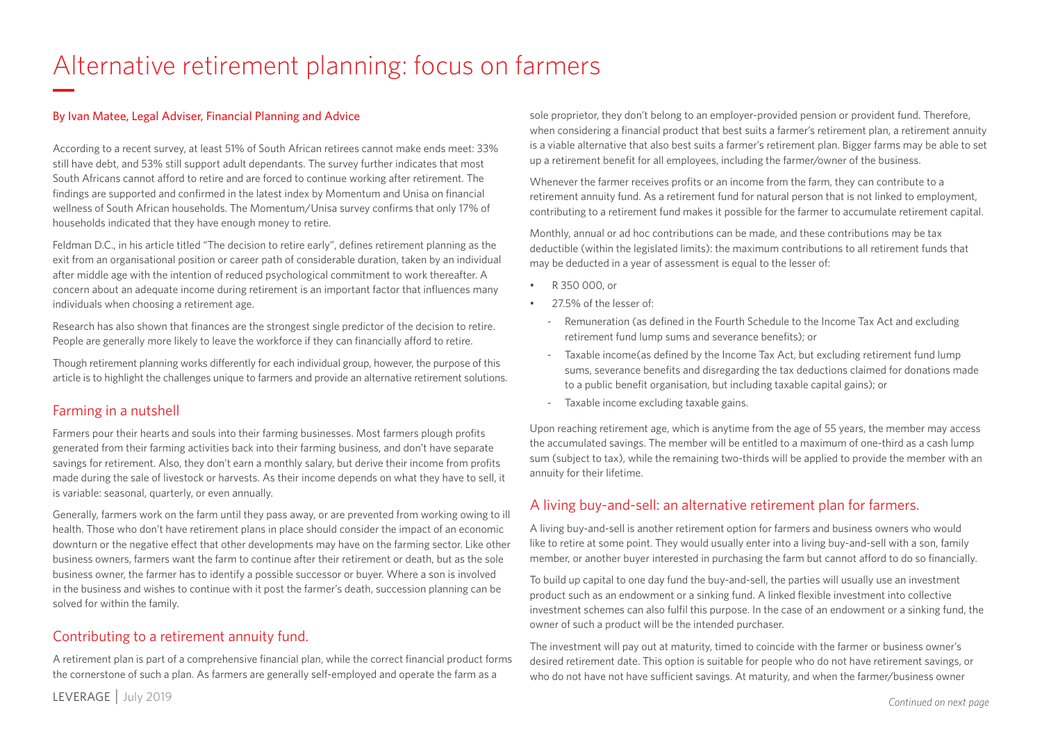### Alternative retirement planning: focus on farmers

#### By Ivan Matee, Legal Adviser, Financial Planning and Advice

According to a recent survey, at least 51% of South African retirees cannot make ends meet: 33% still have debt, and 53% still support adult dependants. The survey further indicates that most South Africans cannot afford to retire and are forced to continue working after retirement. The findings are supported and confirmed in the latest index by Momentum and Unisa on financial wellness of South African households. The Momentum/Unisa survey confirms that only 17% of households indicated that they have enough money to retire.

Feldman D.C., in his article titled "The decision to retire early", defines retirement planning as the exit from an organisational position or career path of considerable duration, taken by an individual after middle age with the intention of reduced psychological commitment to work thereafter. A concern about an adequate income during retirement is an important factor that influences many individuals when choosing a retirement age.

Research has also shown that finances are the strongest single predictor of the decision to retire. People are generally more likely to leave the workforce if they can financially afford to retire.

Though retirement planning works differently for each individual group, however, the purpose of this article is to highlight the challenges unique to farmers and provide an alternative retirement solutions.

#### Farming in a nutshell

Farmers pour their hearts and souls into their farming businesses. Most farmers plough profits generated from their farming activities back into their farming business, and don't have separate savings for retirement. Also, they don't earn a monthly salary, but derive their income from profits made during the sale of livestock or harvests. As their income depends on what they have to sell, it is variable: seasonal, quarterly, or even annually.

Generally, farmers work on the farm until they pass away, or are prevented from working owing to ill health. Those who don't have retirement plans in place should consider the impact of an economic downturn or the negative effect that other developments may have on the farming sector. Like other business owners, farmers want the farm to continue after their retirement or death, but as the sole business owner, the farmer has to identify a possible successor or buyer. Where a son is involved in the business and wishes to continue with it post the farmer's death, succession planning can be solved for within the family.

#### Contributing to a retirement annuity fund.

A retirement plan is part of a comprehensive financial plan, while the correct financial product forms the cornerstone of such a plan. As farmers are generally self-employed and operate the farm as a

sole proprietor, they don't belong to an employer-provided pension or provident fund. Therefore, when considering a financial product that best suits a farmer's retirement plan, a retirement annuity is a viable alternative that also best suits a farmer's retirement plan. Bigger farms may be able to set up a retirement benefit for all employees, including the farmer/owner of the business.

Whenever the farmer receives profits or an income from the farm, they can contribute to a retirement annuity fund. As a retirement fund for natural person that is not linked to employment, contributing to a retirement fund makes it possible for the farmer to accumulate retirement capital.

Monthly, annual or ad hoc contributions can be made, and these contributions may be tax deductible (within the legislated limits): the maximum contributions to all retirement funds that may be deducted in a year of assessment is equal to the lesser of:

- R 350 000, or
- 275% of the lesser of
	- Remuneration (as defined in the Fourth Schedule to the Income Tax Act and excluding retirement fund lump sums and severance benefits); or
	- Taxable income(as defined by the Income Tax Act, but excluding retirement fund lump sums, severance benefits and disregarding the tax deductions claimed for donations made to a public benefit organisation, but including taxable capital gains); or
	- Taxable income excluding taxable gains.

Upon reaching retirement age, which is anytime from the age of 55 years, the member may access the accumulated savings. The member will be entitled to a maximum of one-third as a cash lump sum (subject to tax), while the remaining two-thirds will be applied to provide the member with an annuity for their lifetime.

#### A living buy-and-sell: an alternative retirement plan for farmers.

A living buy-and-sell is another retirement option for farmers and business owners who would like to retire at some point. They would usually enter into a living buy-and-sell with a son, family member, or another buyer interested in purchasing the farm but cannot afford to do so financially.

To build up capital to one day fund the buy-and-sell, the parties will usually use an investment product such as an endowment or a sinking fund. A linked flexible investment into collective investment schemes can also fulfil this purpose. In the case of an endowment or a sinking fund, the owner of such a product will be the intended purchaser.

The investment will pay out at maturity, timed to coincide with the farmer or business owner's desired retirement date. This option is suitable for people who do not have retirement savings, or who do not have not have sufficient savings. At maturity, and when the farmer/business owner

LEVERAGE | July 2019